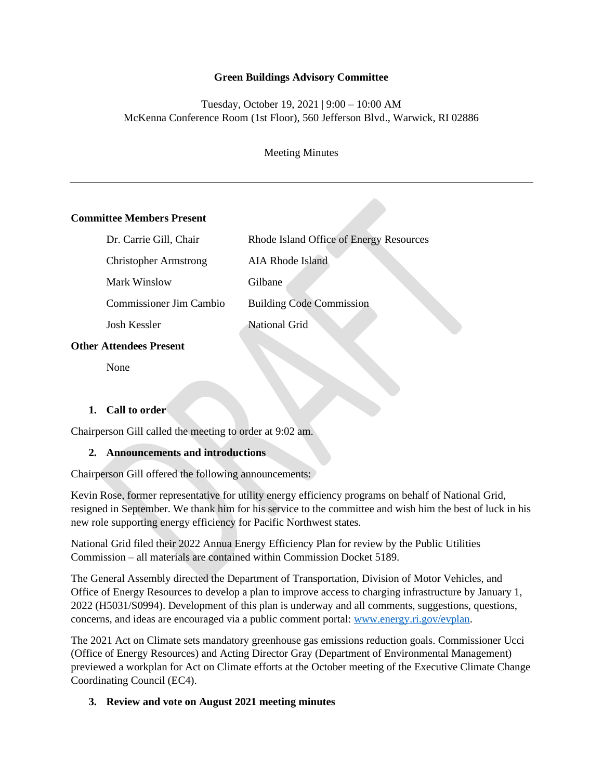### **Green Buildings Advisory Committee**

## Tuesday, October 19, 2021 | 9:00 – 10:00 AM McKenna Conference Room (1st Floor), 560 Jefferson Blvd., Warwick, RI 02886

Meeting Minutes

### **Committee Members Present**

| Dr. Carrie Gill, Chair       | Rhode Island Office of Energy Resources |
|------------------------------|-----------------------------------------|
| <b>Christopher Armstrong</b> | <b>AIA Rhode Island</b>                 |
| Mark Winslow                 | Gilbane                                 |
| Commissioner Jim Cambio      | <b>Building Code Commission</b>         |
| Josh Kessler                 | National Grid                           |
|                              |                                         |

### **Other Attendees Present**

None

### **1. Call to order**

Chairperson Gill called the meeting to order at 9:02 am.

#### **2. Announcements and introductions**

Chairperson Gill offered the following announcements:

Kevin Rose, former representative for utility energy efficiency programs on behalf of National Grid, resigned in September. We thank him for his service to the committee and wish him the best of luck in his new role supporting energy efficiency for Pacific Northwest states.

National Grid filed their 2022 Annua Energy Efficiency Plan for review by the Public Utilities Commission – all materials are contained within Commission Docket 5189.

The General Assembly directed the Department of Transportation, Division of Motor Vehicles, and Office of Energy Resources to develop a plan to improve access to charging infrastructure by January 1, 2022 (H5031/S0994). Development of this plan is underway and all comments, suggestions, questions, concerns, and ideas are encouraged via a public comment portal: [www.energy.ri.gov/evplan.](http://www.energy.ri.gov/evplan)

The 2021 Act on Climate sets mandatory greenhouse gas emissions reduction goals. Commissioner Ucci (Office of Energy Resources) and Acting Director Gray (Department of Environmental Management) previewed a workplan for Act on Climate efforts at the October meeting of the Executive Climate Change Coordinating Council (EC4).

### **3. Review and vote on August 2021 meeting minutes**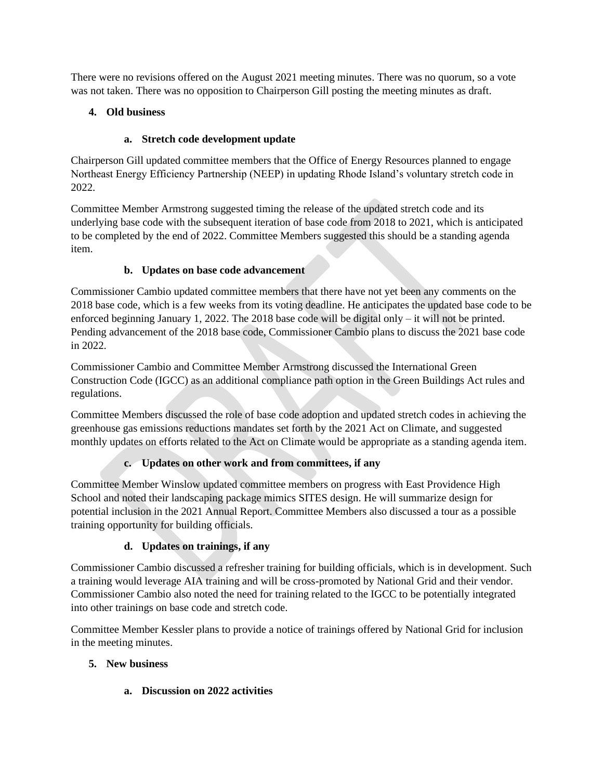There were no revisions offered on the August 2021 meeting minutes. There was no quorum, so a vote was not taken. There was no opposition to Chairperson Gill posting the meeting minutes as draft.

## **4. Old business**

## **a. Stretch code development update**

Chairperson Gill updated committee members that the Office of Energy Resources planned to engage Northeast Energy Efficiency Partnership (NEEP) in updating Rhode Island's voluntary stretch code in 2022.

Committee Member Armstrong suggested timing the release of the updated stretch code and its underlying base code with the subsequent iteration of base code from 2018 to 2021, which is anticipated to be completed by the end of 2022. Committee Members suggested this should be a standing agenda item.

# **b. Updates on base code advancement**

Commissioner Cambio updated committee members that there have not yet been any comments on the 2018 base code, which is a few weeks from its voting deadline. He anticipates the updated base code to be enforced beginning January 1, 2022. The 2018 base code will be digital only – it will not be printed. Pending advancement of the 2018 base code, Commissioner Cambio plans to discuss the 2021 base code in 2022.

Commissioner Cambio and Committee Member Armstrong discussed the International Green Construction Code (IGCC) as an additional compliance path option in the Green Buildings Act rules and regulations.

Committee Members discussed the role of base code adoption and updated stretch codes in achieving the greenhouse gas emissions reductions mandates set forth by the 2021 Act on Climate, and suggested monthly updates on efforts related to the Act on Climate would be appropriate as a standing agenda item.

# **c. Updates on other work and from committees, if any**

Committee Member Winslow updated committee members on progress with East Providence High School and noted their landscaping package mimics SITES design. He will summarize design for potential inclusion in the 2021 Annual Report. Committee Members also discussed a tour as a possible training opportunity for building officials.

# **d. Updates on trainings, if any**

Commissioner Cambio discussed a refresher training for building officials, which is in development. Such a training would leverage AIA training and will be cross-promoted by National Grid and their vendor. Commissioner Cambio also noted the need for training related to the IGCC to be potentially integrated into other trainings on base code and stretch code.

Committee Member Kessler plans to provide a notice of trainings offered by National Grid for inclusion in the meeting minutes.

# **5. New business**

**a. Discussion on 2022 activities**